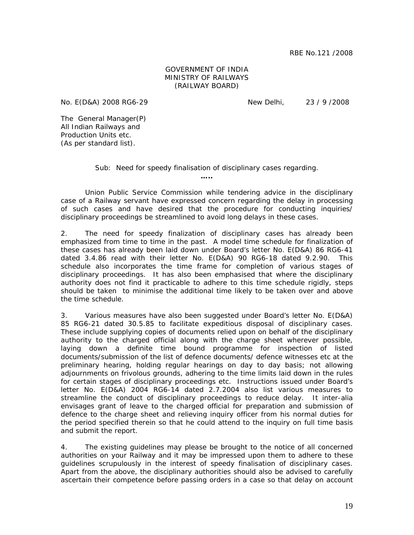## GOVERNMENT OF INDIA MINISTRY OF RAILWAYS (RAILWAY BOARD)

No. E(D&A) 2008 RG6-29 New Delhi, 23 / 9 /2008

The General Manager(P) All Indian Railways and Production Units etc. (As per standard list).

> Sub: Need for speedy finalisation of disciplinary cases regarding. **…..**

Union Public Service Commission while tendering advice in the disciplinary case of a Railway servant have expressed concern regarding the delay in processing of such cases and have desired that the procedure for conducting inquiries/ disciplinary proceedings be streamlined to avoid long delays in these cases.

2. The need for speedy finalization of disciplinary cases has already been emphasized from time to time in the past. A model time schedule for finalization of these cases has already been laid down under Board's letter No. E(D&A) 86 RG6-41 dated 3.4.86 read with their letter No. E(D&A) 90 RG6-18 dated 9.2.90. This schedule also incorporates the time frame for completion of various stages of disciplinary proceedings. It has also been emphasised that where the disciplinary authority does not find it practicable to adhere to this time schedule rigidly, steps should be taken to minimise the additional time likely to be taken over and above the time schedule.

3. Various measures have also been suggested under Board's letter No. E(D&A) 85 RG6-21 dated 30.5.85 to facilitate expeditious disposal of disciplinary cases. These include supplying copies of documents relied upon on behalf of the disciplinary authority to the charged official along with the charge sheet wherever possible, laying down a definite time bound programme for inspection of listed documents/submission of the list of defence documents/ defence witnesses etc at the preliminary hearing, holding regular hearings on day to day basis; not allowing adjournments on frivolous grounds, adhering to the time limits laid down in the rules for certain stages of disciplinary proceedings etc. Instructions issued under Board's letter No. E(D&A) 2004 RG6-14 dated 2.7.2004 also list various measures to streamline the conduct of disciplinary proceedings to reduce delay. It inter-alia envisages grant of leave to the charged official for preparation and submission of defence to the charge sheet and relieving inquiry officer from his normal duties for the period specified therein so that he could attend to the inquiry on full time basis and submit the report.

4. The existing guidelines may please be brought to the notice of all concerned authorities on your Railway and it may be impressed upon them to adhere to these guidelines scrupulously in the interest of speedy finalisation of disciplinary cases. Apart from the above, the disciplinary authorities should also be advised to carefully ascertain their competence before passing orders in a case so that delay on account